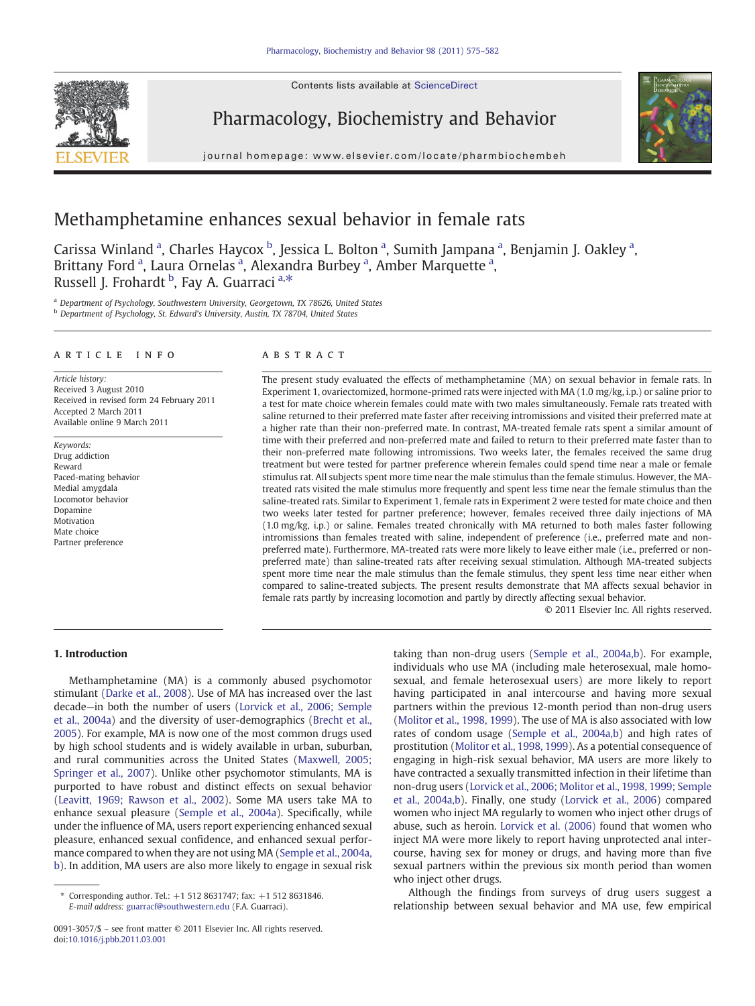Contents lists available at ScienceDirect



Pharmacology, Biochemistry and Behavior

journal homepage: www.elsevier.com/locate/pharmbiochembeh



# Methamphetamine enhances sexual behavior in female rats

Carissa Winland <sup>a</sup>, Charles Haycox <sup>b</sup>, Jessica L. Bolton <sup>a</sup>, Sumith Jampana <sup>a</sup>, Benjamin J. Oakley <sup>a</sup>, Brittany Ford<sup>a</sup>, Laura Ornelas<sup>a</sup>, Alexandra Burbey<sup>a</sup>, Amber Marquette<sup>a</sup>, Russell J. Frohardt <sup>b</sup>, Fay A. Guarraci <sup>a,\*</sup>

<sup>a</sup> Department of Psychology, Southwestern University, Georgetown, TX 78626, United States <sup>b</sup> Department of Psychology, St. Edward's University, Austin, TX 78704, United States

#### article info abstract

Article history: Received 3 August 2010 Received in revised form 24 February 2011 Accepted 2 March 2011 Available online 9 March 2011

Keywords: Drug addiction Reward Paced-mating behavior Medial amygdala Locomotor behavior Dopamine Motivation Mate choice Partner preference

The present study evaluated the effects of methamphetamine (MA) on sexual behavior in female rats. In Experiment 1, ovariectomized, hormone-primed rats were injected with MA (1.0 mg/kg, i.p.) or saline prior to a test for mate choice wherein females could mate with two males simultaneously. Female rats treated with saline returned to their preferred mate faster after receiving intromissions and visited their preferred mate at a higher rate than their non-preferred mate. In contrast, MA-treated female rats spent a similar amount of time with their preferred and non-preferred mate and failed to return to their preferred mate faster than to their non-preferred mate following intromissions. Two weeks later, the females received the same drug treatment but were tested for partner preference wherein females could spend time near a male or female stimulus rat. All subjects spent more time near the male stimulus than the female stimulus. However, the MAtreated rats visited the male stimulus more frequently and spent less time near the female stimulus than the saline-treated rats. Similar to Experiment 1, female rats in Experiment 2 were tested for mate choice and then two weeks later tested for partner preference; however, females received three daily injections of MA (1.0 mg/kg, i.p.) or saline. Females treated chronically with MA returned to both males faster following intromissions than females treated with saline, independent of preference (i.e., preferred mate and nonpreferred mate). Furthermore, MA-treated rats were more likely to leave either male (i.e., preferred or nonpreferred mate) than saline-treated rats after receiving sexual stimulation. Although MA-treated subjects spent more time near the male stimulus than the female stimulus, they spent less time near either when compared to saline-treated subjects. The present results demonstrate that MA affects sexual behavior in female rats partly by increasing locomotion and partly by directly affecting sexual behavior.

© 2011 Elsevier Inc. All rights reserved.

# 1. Introduction

Methamphetamine (MA) is a commonly abused psychomotor stimulant [\(Darke et al., 2008\)](#page-7-0). Use of MA has increased over the last decade—in both the number of users ([Lorvick et al., 2006; Semple](#page-7-0) [et al., 2004a\)](#page-7-0) and the diversity of user-demographics ([Brecht et al.,](#page-7-0) [2005\)](#page-7-0). For example, MA is now one of the most common drugs used by high school students and is widely available in urban, suburban, and rural communities across the United States [\(Maxwell, 2005;](#page-7-0) [Springer et al., 2007\)](#page-7-0). Unlike other psychomotor stimulants, MA is purported to have robust and distinct effects on sexual behavior [\(Leavitt, 1969; Rawson et al., 2002](#page-7-0)). Some MA users take MA to enhance sexual pleasure [\(Semple et al., 2004a](#page-7-0)). Specifically, while under the influence of MA, users report experiencing enhanced sexual pleasure, enhanced sexual confidence, and enhanced sexual performance compared to when they are not using MA ([Semple et al., 2004a,](#page-7-0) [b](#page-7-0)). In addition, MA users are also more likely to engage in sexual risk taking than non-drug users [\(Semple et al., 2004a,b](#page-7-0)). For example, individuals who use MA (including male heterosexual, male homosexual, and female heterosexual users) are more likely to report having participated in anal intercourse and having more sexual partners within the previous 12-month period than non-drug users [\(Molitor et al., 1998, 1999\)](#page-7-0). The use of MA is also associated with low rates of condom usage [\(Semple et al., 2004a,b](#page-7-0)) and high rates of prostitution [\(Molitor et al., 1998, 1999](#page-7-0)). As a potential consequence of engaging in high-risk sexual behavior, MA users are more likely to have contracted a sexually transmitted infection in their lifetime than non-drug users ([Lorvick et al., 2006; Molitor et al., 1998, 1999; Semple](#page-7-0) [et al., 2004a,b](#page-7-0)). Finally, one study ([Lorvick et al., 2006](#page-7-0)) compared women who inject MA regularly to women who inject other drugs of abuse, such as heroin. [Lorvick et al. \(2006\)](#page-7-0) found that women who inject MA were more likely to report having unprotected anal intercourse, having sex for money or drugs, and having more than five sexual partners within the previous six month period than women who inject other drugs.

Although the findings from surveys of drug users suggest a relationship between sexual behavior and MA use, few empirical

Corresponding author. Tel.:  $+1$  512 8631747; fax:  $+1$  512 8631846. E-mail address: [guarracf@southwestern.edu](mailto:guarracf@southwestern.edu) (F.A. Guarraci).

<sup>0091-3057/\$</sup> – see front matter © 2011 Elsevier Inc. All rights reserved. doi:[10.1016/j.pbb.2011.03.001](http://dx.doi.org/10.1016/j.pbb.2011.03.001)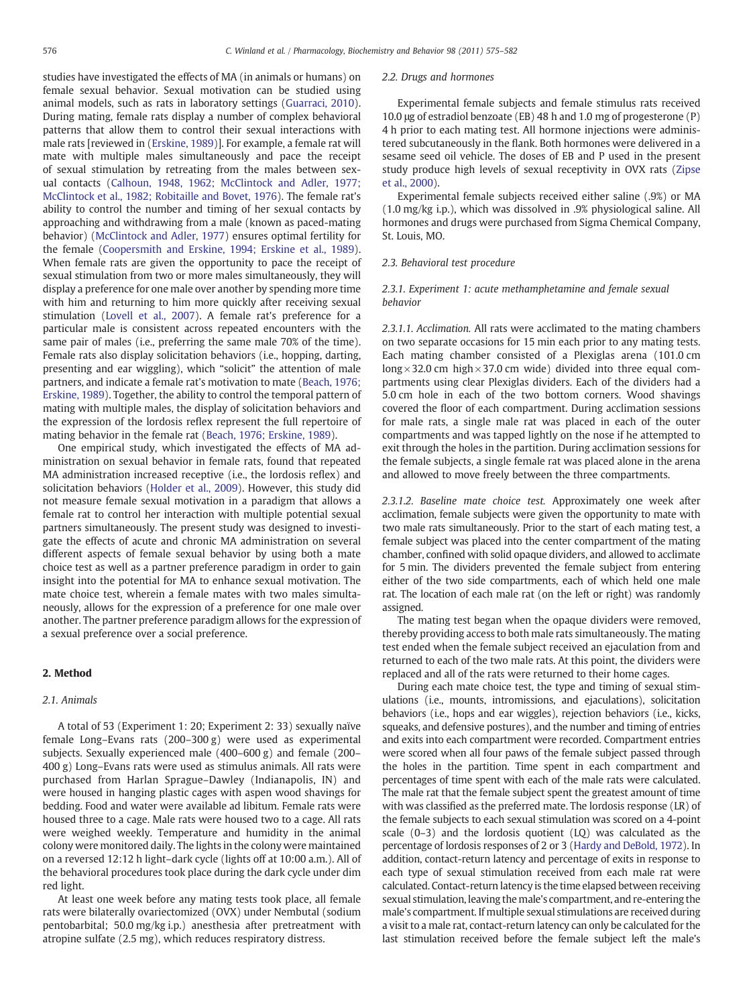studies have investigated the effects of MA (in animals or humans) on female sexual behavior. Sexual motivation can be studied using animal models, such as rats in laboratory settings ([Guarraci, 2010](#page-7-0)). During mating, female rats display a number of complex behavioral patterns that allow them to control their sexual interactions with male rats [reviewed in ([Erskine, 1989\)](#page-7-0)]. For example, a female rat will mate with multiple males simultaneously and pace the receipt of sexual stimulation by retreating from the males between sexual contacts ([Calhoun, 1948, 1962; McClintock and Adler, 1977;](#page-7-0) [McClintock et al., 1982; Robitaille and Bovet, 1976\)](#page-7-0). The female rat's ability to control the number and timing of her sexual contacts by approaching and withdrawing from a male (known as paced-mating behavior) [\(McClintock and Adler, 1977](#page-7-0)) ensures optimal fertility for the female [\(Coopersmith and Erskine, 1994; Erskine et al., 1989](#page-7-0)). When female rats are given the opportunity to pace the receipt of sexual stimulation from two or more males simultaneously, they will display a preference for one male over another by spending more time with him and returning to him more quickly after receiving sexual stimulation [\(Lovell et al., 2007\)](#page-7-0). A female rat's preference for a particular male is consistent across repeated encounters with the same pair of males (i.e., preferring the same male 70% of the time). Female rats also display solicitation behaviors (i.e., hopping, darting, presenting and ear wiggling), which "solicit" the attention of male partners, and indicate a female rat's motivation to mate ([Beach, 1976;](#page-7-0) [Erskine, 1989](#page-7-0)). Together, the ability to control the temporal pattern of mating with multiple males, the display of solicitation behaviors and the expression of the lordosis reflex represent the full repertoire of mating behavior in the female rat ([Beach, 1976; Erskine, 1989](#page-7-0)).

One empirical study, which investigated the effects of MA administration on sexual behavior in female rats, found that repeated MA administration increased receptive (i.e., the lordosis reflex) and solicitation behaviors ([Holder et al., 2009\)](#page-7-0). However, this study did not measure female sexual motivation in a paradigm that allows a female rat to control her interaction with multiple potential sexual partners simultaneously. The present study was designed to investigate the effects of acute and chronic MA administration on several different aspects of female sexual behavior by using both a mate choice test as well as a partner preference paradigm in order to gain insight into the potential for MA to enhance sexual motivation. The mate choice test, wherein a female mates with two males simultaneously, allows for the expression of a preference for one male over another. The partner preference paradigm allows for the expression of a sexual preference over a social preference.

# 2. Method

# 2.1. Animals

A total of 53 (Experiment 1: 20; Experiment 2: 33) sexually naïve female Long–Evans rats (200–300 g) were used as experimental subjects. Sexually experienced male (400–600 g) and female (200– 400 g) Long–Evans rats were used as stimulus animals. All rats were purchased from Harlan Sprague–Dawley (Indianapolis, IN) and were housed in hanging plastic cages with aspen wood shavings for bedding. Food and water were available ad libitum. Female rats were housed three to a cage. Male rats were housed two to a cage. All rats were weighed weekly. Temperature and humidity in the animal colony were monitored daily. The lights in the colony were maintained on a reversed 12:12 h light–dark cycle (lights off at 10:00 a.m.). All of the behavioral procedures took place during the dark cycle under dim red light.

At least one week before any mating tests took place, all female rats were bilaterally ovariectomized (OVX) under Nembutal (sodium pentobarbital; 50.0 mg/kg i.p.) anesthesia after pretreatment with atropine sulfate (2.5 mg), which reduces respiratory distress.

# 2.2. Drugs and hormones

Experimental female subjects and female stimulus rats received 10.0 μg of estradiol benzoate (EB) 48 h and 1.0 mg of progesterone (P) 4 h prior to each mating test. All hormone injections were administered subcutaneously in the flank. Both hormones were delivered in a sesame seed oil vehicle. The doses of EB and P used in the present study produce high levels of sexual receptivity in OVX rats ([Zipse](#page-7-0) [et al., 2000\)](#page-7-0).

Experimental female subjects received either saline (.9%) or MA (1.0 mg/kg i.p.), which was dissolved in .9% physiological saline. All hormones and drugs were purchased from Sigma Chemical Company, St. Louis, MO.

# 2.3. Behavioral test procedure

# 2.3.1. Experiment 1: acute methamphetamine and female sexual behavior

2.3.1.1. Acclimation. All rats were acclimated to the mating chambers on two separate occasions for 15 min each prior to any mating tests. Each mating chamber consisted of a Plexiglas arena (101.0 cm  $long \times 32.0$  cm high  $\times 37.0$  cm wide) divided into three equal compartments using clear Plexiglas dividers. Each of the dividers had a 5.0 cm hole in each of the two bottom corners. Wood shavings covered the floor of each compartment. During acclimation sessions for male rats, a single male rat was placed in each of the outer compartments and was tapped lightly on the nose if he attempted to exit through the holes in the partition. During acclimation sessions for the female subjects, a single female rat was placed alone in the arena and allowed to move freely between the three compartments.

2.3.1.2. Baseline mate choice test. Approximately one week after acclimation, female subjects were given the opportunity to mate with two male rats simultaneously. Prior to the start of each mating test, a female subject was placed into the center compartment of the mating chamber, confined with solid opaque dividers, and allowed to acclimate for 5 min. The dividers prevented the female subject from entering either of the two side compartments, each of which held one male rat. The location of each male rat (on the left or right) was randomly assigned.

The mating test began when the opaque dividers were removed, thereby providing access to both male rats simultaneously. The mating test ended when the female subject received an ejaculation from and returned to each of the two male rats. At this point, the dividers were replaced and all of the rats were returned to their home cages.

During each mate choice test, the type and timing of sexual stimulations (i.e., mounts, intromissions, and ejaculations), solicitation behaviors (i.e., hops and ear wiggles), rejection behaviors (i.e., kicks, squeaks, and defensive postures), and the number and timing of entries and exits into each compartment were recorded. Compartment entries were scored when all four paws of the female subject passed through the holes in the partition. Time spent in each compartment and percentages of time spent with each of the male rats were calculated. The male rat that the female subject spent the greatest amount of time with was classified as the preferred mate. The lordosis response (LR) of the female subjects to each sexual stimulation was scored on a 4-point scale (0–3) and the lordosis quotient (LQ) was calculated as the percentage of lordosis responses of 2 or 3 ([Hardy and DeBold, 1972\)](#page-7-0). In addition, contact-return latency and percentage of exits in response to each type of sexual stimulation received from each male rat were calculated. Contact-return latency is the time elapsed between receiving sexual stimulation, leaving the male's compartment, and re-entering the male's compartment. If multiple sexual stimulations are received during a visit to a male rat, contact-return latency can only be calculated for the last stimulation received before the female subject left the male's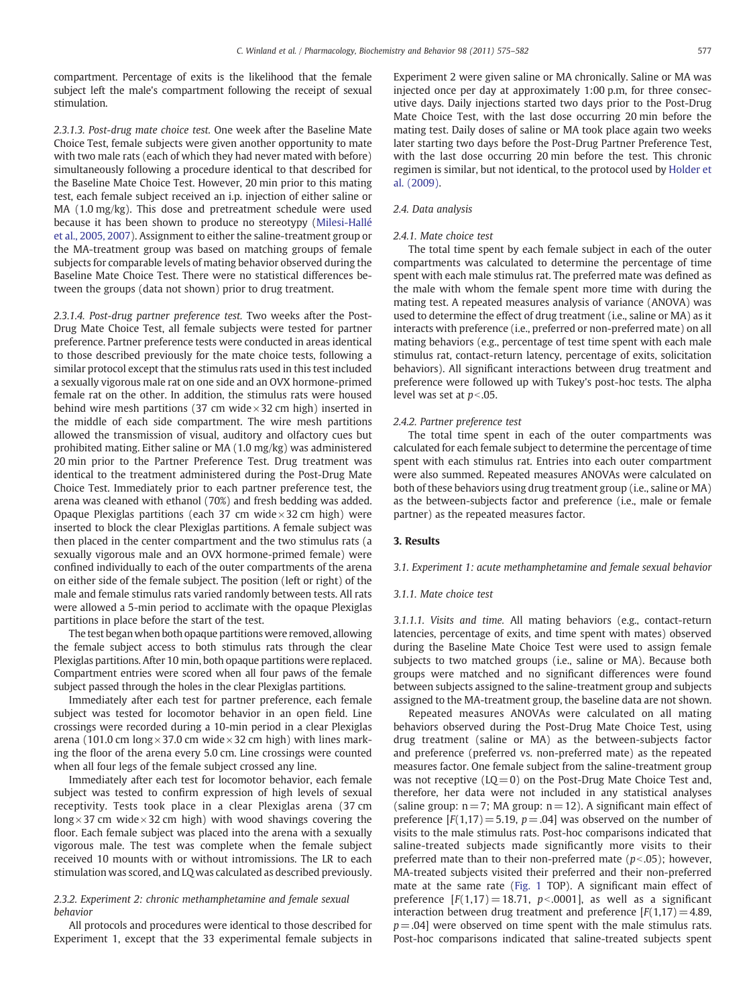compartment. Percentage of exits is the likelihood that the female subject left the male's compartment following the receipt of sexual stimulation.

2.3.1.3. Post-drug mate choice test. One week after the Baseline Mate Choice Test, female subjects were given another opportunity to mate with two male rats (each of which they had never mated with before) simultaneously following a procedure identical to that described for the Baseline Mate Choice Test. However, 20 min prior to this mating test, each female subject received an i.p. injection of either saline or MA (1.0 mg/kg). This dose and pretreatment schedule were used because it has been shown to produce no stereotypy ([Milesi-Hallé](#page-7-0) [et al., 2005, 2007\)](#page-7-0). Assignment to either the saline-treatment group or the MA-treatment group was based on matching groups of female subjects for comparable levels of mating behavior observed during the Baseline Mate Choice Test. There were no statistical differences between the groups (data not shown) prior to drug treatment.

2.3.1.4. Post-drug partner preference test. Two weeks after the Post-Drug Mate Choice Test, all female subjects were tested for partner preference. Partner preference tests were conducted in areas identical to those described previously for the mate choice tests, following a similar protocol except that the stimulus rats used in this test included a sexually vigorous male rat on one side and an OVX hormone-primed female rat on the other. In addition, the stimulus rats were housed behind wire mesh partitions (37 cm wide  $\times$  32 cm high) inserted in the middle of each side compartment. The wire mesh partitions allowed the transmission of visual, auditory and olfactory cues but prohibited mating. Either saline or MA (1.0 mg/kg) was administered 20 min prior to the Partner Preference Test. Drug treatment was identical to the treatment administered during the Post-Drug Mate Choice Test. Immediately prior to each partner preference test, the arena was cleaned with ethanol (70%) and fresh bedding was added. Opaque Plexiglas partitions (each 37 cm wide  $\times$  32 cm high) were inserted to block the clear Plexiglas partitions. A female subject was then placed in the center compartment and the two stimulus rats (a sexually vigorous male and an OVX hormone-primed female) were confined individually to each of the outer compartments of the arena on either side of the female subject. The position (left or right) of the male and female stimulus rats varied randomly between tests. All rats were allowed a 5-min period to acclimate with the opaque Plexiglas partitions in place before the start of the test.

The test began when both opaque partitions were removed, allowing the female subject access to both stimulus rats through the clear Plexiglas partitions. After 10 min, both opaque partitions were replaced. Compartment entries were scored when all four paws of the female subject passed through the holes in the clear Plexiglas partitions.

Immediately after each test for partner preference, each female subject was tested for locomotor behavior in an open field. Line crossings were recorded during a 10-min period in a clear Plexiglas arena (101.0 cm  $\log \times 37.0$  cm wide  $\times 32$  cm high) with lines marking the floor of the arena every 5.0 cm. Line crossings were counted when all four legs of the female subject crossed any line.

Immediately after each test for locomotor behavior, each female subject was tested to confirm expression of high levels of sexual receptivity. Tests took place in a clear Plexiglas arena (37 cm  $long \times 37$  cm wide $\times 32$  cm high) with wood shavings covering the floor. Each female subject was placed into the arena with a sexually vigorous male. The test was complete when the female subject received 10 mounts with or without intromissions. The LR to each stimulation was scored, and LQ was calculated as described previously.

# 2.3.2. Experiment 2: chronic methamphetamine and female sexual behavior

All protocols and procedures were identical to those described for Experiment 1, except that the 33 experimental female subjects in Experiment 2 were given saline or MA chronically. Saline or MA was injected once per day at approximately 1:00 p.m, for three consecutive days. Daily injections started two days prior to the Post-Drug Mate Choice Test, with the last dose occurring 20 min before the mating test. Daily doses of saline or MA took place again two weeks later starting two days before the Post-Drug Partner Preference Test, with the last dose occurring 20 min before the test. This chronic regimen is similar, but not identical, to the protocol used by [Holder et](#page-7-0) [al. \(2009\)](#page-7-0).

# 2.4. Data analysis

#### 2.4.1. Mate choice test

The total time spent by each female subject in each of the outer compartments was calculated to determine the percentage of time spent with each male stimulus rat. The preferred mate was defined as the male with whom the female spent more time with during the mating test. A repeated measures analysis of variance (ANOVA) was used to determine the effect of drug treatment (i.e., saline or MA) as it interacts with preference (i.e., preferred or non-preferred mate) on all mating behaviors (e.g., percentage of test time spent with each male stimulus rat, contact-return latency, percentage of exits, solicitation behaviors). All significant interactions between drug treatment and preference were followed up with Tukey's post-hoc tests. The alpha level was set at  $p<0.05$ .

# 2.4.2. Partner preference test

The total time spent in each of the outer compartments was calculated for each female subject to determine the percentage of time spent with each stimulus rat. Entries into each outer compartment were also summed. Repeated measures ANOVAs were calculated on both of these behaviors using drug treatment group (i.e., saline or MA) as the between-subjects factor and preference (i.e., male or female partner) as the repeated measures factor.

# 3. Results

#### 3.1. Experiment 1: acute methamphetamine and female sexual behavior

# 3.1.1. Mate choice test

3.1.1.1. Visits and time. All mating behaviors (e.g., contact-return latencies, percentage of exits, and time spent with mates) observed during the Baseline Mate Choice Test were used to assign female subjects to two matched groups (i.e., saline or MA). Because both groups were matched and no significant differences were found between subjects assigned to the saline-treatment group and subjects assigned to the MA-treatment group, the baseline data are not shown.

Repeated measures ANOVAs were calculated on all mating behaviors observed during the Post-Drug Mate Choice Test, using drug treatment (saline or MA) as the between-subjects factor and preference (preferred vs. non-preferred mate) as the repeated measures factor. One female subject from the saline-treatment group was not receptive  $(LQ= 0)$  on the Post-Drug Mate Choice Test and, therefore, her data were not included in any statistical analyses (saline group:  $n = 7$ ; MA group:  $n = 12$ ). A significant main effect of preference  $[F(1,17) = 5.19, p = .04]$  was observed on the number of visits to the male stimulus rats. Post-hoc comparisons indicated that saline-treated subjects made significantly more visits to their preferred mate than to their non-preferred mate ( $p$ <.05); however, MA-treated subjects visited their preferred and their non-preferred mate at the same rate [\(Fig. 1](#page-3-0) TOP). A significant main effect of preference  $[F(1,17) = 18.71, p<0.001]$ , as well as a significant interaction between drug treatment and preference  $[F(1,17) = 4.89]$ ,  $p = .04$ ] were observed on time spent with the male stimulus rats. Post-hoc comparisons indicated that saline-treated subjects spent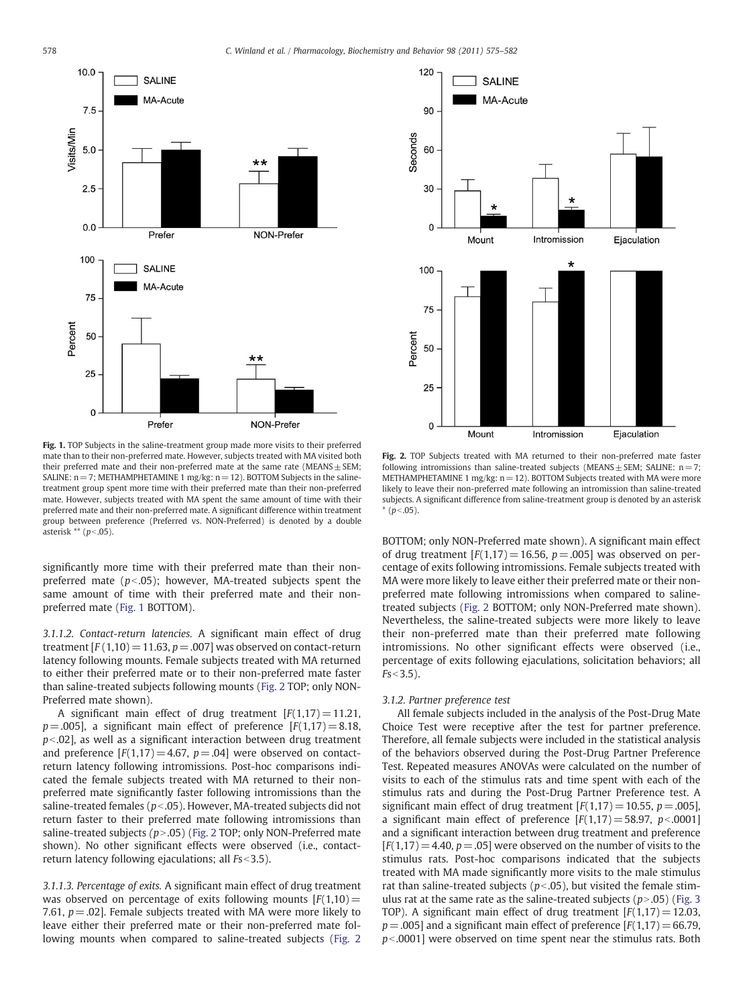<span id="page-3-0"></span>

Fig. 1. TOP Subjects in the saline-treatment group made more visits to their preferred mate than to their non-preferred mate. However, subjects treated with MA visited both their preferred mate and their non-preferred mate at the same rate (MEANS  $+$  SEM; SALINE:  $n = 7$ ; METHAMPHETAMINE 1 mg/kg:  $n = 12$ ). BOTTOM Subjects in the salinetreatment group spent more time with their preferred mate than their non-preferred mate. However, subjects treated with MA spent the same amount of time with their preferred mate and their non-preferred mate. A significant difference within treatment group between preference (Preferred vs. NON-Preferred) is denoted by a double asterisk \*\*  $(p<.05)$ .

significantly more time with their preferred mate than their nonpreferred mate ( $p<0.05$ ); however, MA-treated subjects spent the same amount of time with their preferred mate and their nonpreferred mate (Fig. 1 BOTTOM).

3.1.1.2. Contact-return latencies. A significant main effect of drug treatment  $[F(1,10) = 11.63, p = .007]$  was observed on contact-return latency following mounts. Female subjects treated with MA returned to either their preferred mate or to their non-preferred mate faster than saline-treated subjects following mounts (Fig. 2 TOP; only NON-Preferred mate shown).

A significant main effect of drug treatment  $[F(1,17) = 11.21,$  $p = .005$ ], a significant main effect of preference [ $F(1,17) = 8.18$ ,  $p<0.02$ ], as well as a significant interaction between drug treatment and preference  $[F(1,17) = 4.67, p = .04]$  were observed on contactreturn latency following intromissions. Post-hoc comparisons indicated the female subjects treated with MA returned to their nonpreferred mate significantly faster following intromissions than the saline-treated females ( $p$ <.05). However, MA-treated subjects did not return faster to their preferred mate following intromissions than saline-treated subjects ( $p$ >.05) (Fig. 2 TOP; only NON-Preferred mate shown). No other significant effects were observed (i.e., contactreturn latency following ejaculations; all  $Fs<3.5$ ).

3.1.1.3. Percentage of exits. A significant main effect of drug treatment was observed on percentage of exits following mounts  $[F(1,10)]=$ 7.61,  $p = .02$ ]. Female subjects treated with MA were more likely to leave either their preferred mate or their non-preferred mate following mounts when compared to saline-treated subjects (Fig. 2



Fig. 2. TOP Subjects treated with MA returned to their non-preferred mate faster following intromissions than saline-treated subjects (MEANS + SEM; SALINE:  $n=7$ ; METHAMPHETAMINE 1 mg/kg: n= 12). BOTTOM Subjects treated with MA were more likely to leave their non-preferred mate following an intromission than saline-treated subjects. A significant difference from saline-treatment group is denoted by an asterisk  $*(p<.05)$ .

BOTTOM; only NON-Preferred mate shown). A significant main effect of drug treatment  $[F(1,17) = 16.56, p = .005]$  was observed on percentage of exits following intromissions. Female subjects treated with MA were more likely to leave either their preferred mate or their nonpreferred mate following intromissions when compared to salinetreated subjects (Fig. 2 BOTTOM; only NON-Preferred mate shown). Nevertheless, the saline-treated subjects were more likely to leave their non-preferred mate than their preferred mate following intromissions. No other significant effects were observed (i.e., percentage of exits following ejaculations, solicitation behaviors; all  $Fs < 3.5$ ).

### 3.1.2. Partner preference test

All female subjects included in the analysis of the Post-Drug Mate Choice Test were receptive after the test for partner preference. Therefore, all female subjects were included in the statistical analysis of the behaviors observed during the Post-Drug Partner Preference Test. Repeated measures ANOVAs were calculated on the number of visits to each of the stimulus rats and time spent with each of the stimulus rats and during the Post-Drug Partner Preference test. A significant main effect of drug treatment  $[F(1,17) = 10.55, p = .005]$ , a significant main effect of preference  $[F(1,17) = 58.97, p<0.001]$ and a significant interaction between drug treatment and preference  $[F(1,17) = 4.40, p = .05]$  were observed on the number of visits to the stimulus rats. Post-hoc comparisons indicated that the subjects treated with MA made significantly more visits to the male stimulus rat than saline-treated subjects ( $p$ <.05), but visited the female stimulus rat at the same rate as the saline-treated subjects ( $p$ >,05) ([Fig. 3](#page-4-0) TOP). A significant main effect of drug treatment  $[F(1,17) = 12.03]$ ,  $p = .005$ ] and a significant main effect of preference [ $F(1,17) = 66.79$ ,  $p<0.0001$ ] were observed on time spent near the stimulus rats. Both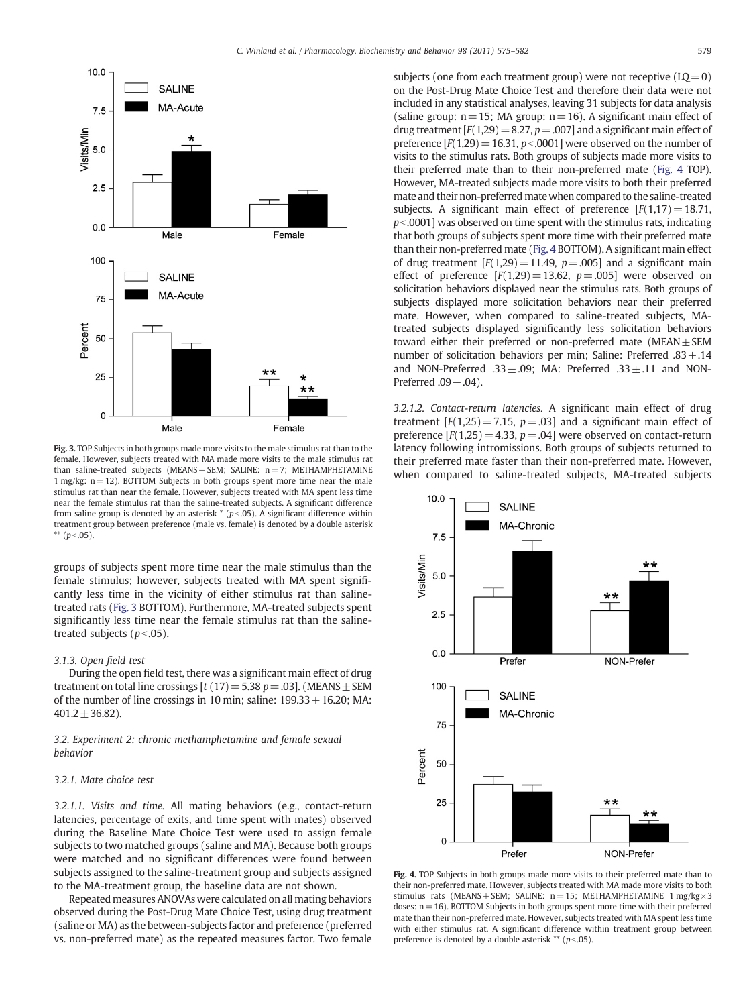<span id="page-4-0"></span>

Fig. 3. TOP Subjects in both groups made more visits to the male stimulus rat than to the female. However, subjects treated with MA made more visits to the male stimulus rat than saline-treated subjects (MEANS + SEM; SALINE:  $n=7$ ; METHAMPHETAMINE 1 mg/kg:  $n = 12$ ). BOTTOM Subjects in both groups spent more time near the male stimulus rat than near the female. However, subjects treated with MA spent less time near the female stimulus rat than the saline-treated subjects. A significant difference from saline group is denoted by an asterisk  $*(p<0.05)$ . A significant difference within treatment group between preference (male vs. female) is denoted by a double asterisk \*\*  $(p<.05)$ .

groups of subjects spent more time near the male stimulus than the female stimulus; however, subjects treated with MA spent significantly less time in the vicinity of either stimulus rat than salinetreated rats (Fig. 3 BOTTOM). Furthermore, MA-treated subjects spent significantly less time near the female stimulus rat than the salinetreated subjects ( $p$ <.05).

# 3.1.3. Open field test

During the open field test, there was a significant main effect of drug treatment on total line crossings  $[t(17)=5.38 p=.03]$ . (MEANS  $\pm$  SEM of the number of line crossings in 10 min; saline:  $199.33 \pm 16.20$ ; MA:  $401.2 \pm 36.82$ ).

# 3.2. Experiment 2: chronic methamphetamine and female sexual behavior

# 3.2.1. Mate choice test

3.2.1.1. Visits and time. All mating behaviors (e.g., contact-return latencies, percentage of exits, and time spent with mates) observed during the Baseline Mate Choice Test were used to assign female subjects to two matched groups (saline and MA). Because both groups were matched and no significant differences were found between subjects assigned to the saline-treatment group and subjects assigned to the MA-treatment group, the baseline data are not shown.

Repeated measures ANOVAs were calculated on all mating behaviors observed during the Post-Drug Mate Choice Test, using drug treatment (saline or MA) as the between-subjects factor and preference (preferred vs. non-preferred mate) as the repeated measures factor. Two female subjects (one from each treatment group) were not receptive  $(10=0)$ on the Post-Drug Mate Choice Test and therefore their data were not included in any statistical analyses, leaving 31 subjects for data analysis (saline group:  $n=15$ ; MA group:  $n=16$ ). A significant main effect of drug treatment  $[F(1,29) = 8.27, p = .007]$  and a significant main effect of preference  $[F(1,29)=16.31, p<0.001]$  were observed on the number of visits to the stimulus rats. Both groups of subjects made more visits to their preferred mate than to their non-preferred mate (Fig. 4 TOP). However, MA-treated subjects made more visits to both their preferred mate and their non-preferred mate when compared to the saline-treated subjects. A significant main effect of preference  $[F(1,17)]=18.71$ ,  $p$ <.0001] was observed on time spent with the stimulus rats, indicating that both groups of subjects spent more time with their preferred mate than their non-preferred mate (Fig. 4 BOTTOM). A significant main effect of drug treatment  $[F(1,29)=11.49, p=.005]$  and a significant main effect of preference  $[F(1,29)=13.62, p=.005]$  were observed on solicitation behaviors displayed near the stimulus rats. Both groups of subjects displayed more solicitation behaviors near their preferred mate. However, when compared to saline-treated subjects, MAtreated subjects displayed significantly less solicitation behaviors toward either their preferred or non-preferred mate (MEAN $\pm$ SEM number of solicitation behaviors per min; Saline: Preferred  $.83 \pm .14$ and NON-Preferred .33 $\pm$  .09; MA: Preferred .33 $\pm$  .11 and NON-Preferred  $.09 \pm .04$ ).

3.2.1.2. Contact-return latencies. A significant main effect of drug treatment  $[F(1,25) = 7.15, p = .03]$  and a significant main effect of preference  $[F(1,25) = 4.33, p = .04]$  were observed on contact-return latency following intromissions. Both groups of subjects returned to their preferred mate faster than their non-preferred mate. However, when compared to saline-treated subjects, MA-treated subjects



Fig. 4. TOP Subjects in both groups made more visits to their preferred mate than to their non-preferred mate. However, subjects treated with MA made more visits to both stimulus rats (MEANS  $\pm$  SEM; SALINE: n = 15; METHAMPHETAMINE 1 mg/kg  $\times$  3 doses: n= 16). BOTTOM Subjects in both groups spent more time with their preferred mate than their non-preferred mate. However, subjects treated with MA spent less time with either stimulus rat. A significant difference within treatment group between preference is denoted by a double asterisk \*\*  $(p<.05)$ .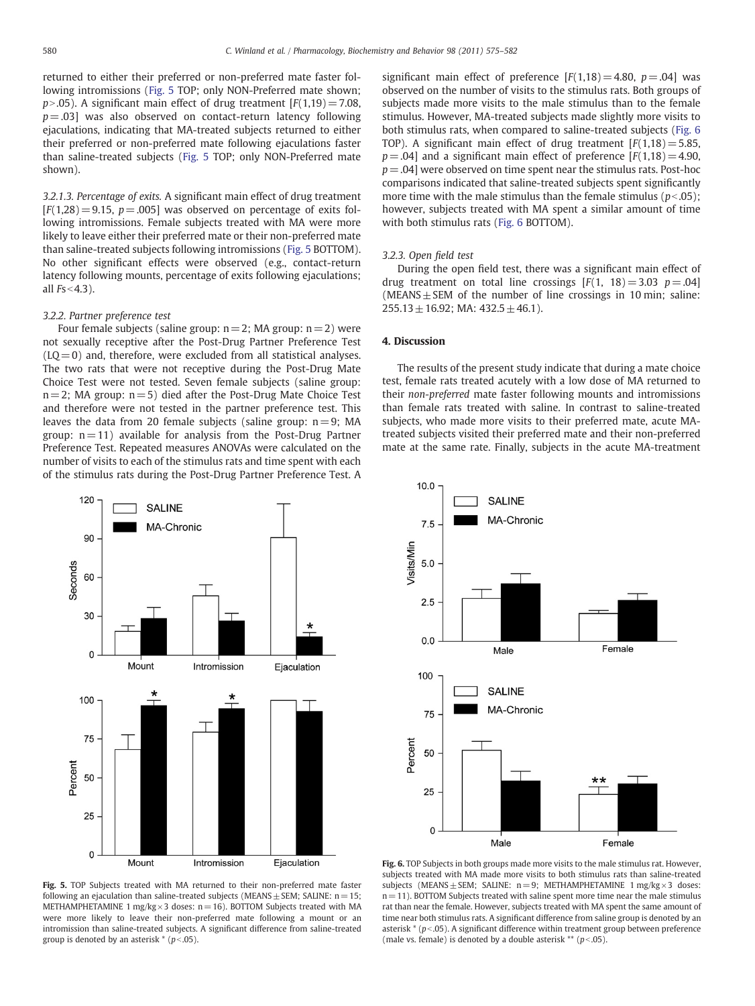returned to either their preferred or non-preferred mate faster following intromissions (Fig. 5 TOP; only NON-Preferred mate shown;  $p > .05$ ). A significant main effect of drug treatment  $[F(1,19) = 7.08$ ,  $p = .03$ ] was also observed on contact-return latency following ejaculations, indicating that MA-treated subjects returned to either their preferred or non-preferred mate following ejaculations faster than saline-treated subjects (Fig. 5 TOP; only NON-Preferred mate shown).

3.2.1.3. Percentage of exits. A significant main effect of drug treatment  $[F(1,28) = 9.15, p = .005]$  was observed on percentage of exits following intromissions. Female subjects treated with MA were more likely to leave either their preferred mate or their non-preferred mate than saline-treated subjects following intromissions (Fig. 5 BOTTOM). No other significant effects were observed (e.g., contact-return latency following mounts, percentage of exits following ejaculations; all  $Fs<4.3$ ).

#### 3.2.2. Partner preference test

Four female subjects (saline group:  $n = 2$ ; MA group:  $n = 2$ ) were not sexually receptive after the Post-Drug Partner Preference Test  $(LO = 0)$  and, therefore, were excluded from all statistical analyses. The two rats that were not receptive during the Post-Drug Mate Choice Test were not tested. Seven female subjects (saline group:  $n= 2$ ; MA group:  $n= 5$ ) died after the Post-Drug Mate Choice Test and therefore were not tested in the partner preference test. This leaves the data from 20 female subjects (saline group:  $n=9$ ; MA group:  $n = 11$ ) available for analysis from the Post-Drug Partner Preference Test. Repeated measures ANOVAs were calculated on the number of visits to each of the stimulus rats and time spent with each of the stimulus rats during the Post-Drug Partner Preference Test. A



Fig. 5. TOP Subjects treated with MA returned to their non-preferred mate faster following an ejaculation than saline-treated subjects (MEANS + SEM; SALINE;  $n = 15$ ; METHAMPHETAMINE 1 mg/kg  $\times$  3 doses: n = 16). BOTTOM Subjects treated with MA were more likely to leave their non-preferred mate following a mount or an intromission than saline-treated subjects. A significant difference from saline-treated group is denoted by an asterisk  $*(p<.05)$ .

significant main effect of preference  $[F(1,18) = 4.80, p = .04]$  was observed on the number of visits to the stimulus rats. Both groups of subjects made more visits to the male stimulus than to the female stimulus. However, MA-treated subjects made slightly more visits to both stimulus rats, when compared to saline-treated subjects (Fig. 6 TOP). A significant main effect of drug treatment  $[F(1,18) = 5.85,$  $p = .04$ ] and a significant main effect of preference [ $F(1,18) = 4.90$ ,  $p = .04$ ] were observed on time spent near the stimulus rats. Post-hoc comparisons indicated that saline-treated subjects spent significantly more time with the male stimulus than the female stimulus ( $p$ <.05); however, subjects treated with MA spent a similar amount of time with both stimulus rats (Fig. 6 BOTTOM).

# 3.2.3. Open field test

During the open field test, there was a significant main effect of drug treatment on total line crossings  $[F(1, 18) = 3.03 \, p = .04]$ (MEANS $\pm$  SEM of the number of line crossings in 10 min; saline:  $255.13 \pm 16.92$ ; MA:  $432.5 \pm 46.1$ ).

# 4. Discussion

The results of the present study indicate that during a mate choice test, female rats treated acutely with a low dose of MA returned to their non-preferred mate faster following mounts and intromissions than female rats treated with saline. In contrast to saline-treated subjects, who made more visits to their preferred mate, acute MAtreated subjects visited their preferred mate and their non-preferred mate at the same rate. Finally, subjects in the acute MA-treatment



Fig. 6. TOP Subjects in both groups made more visits to the male stimulus rat. However, subjects treated with MA made more visits to both stimulus rats than saline-treated subjects (MEANS  $\pm$  SEM; SALINE: n = 9; METHAMPHETAMINE 1 mg/kg × 3 doses:  $n = 11$ ). BOTTOM Subjects treated with saline spent more time near the male stimulus rat than near the female. However, subjects treated with MA spent the same amount of time near both stimulus rats. A significant difference from saline group is denoted by an asterisk  $*(p<.05)$ . A significant difference within treatment group between preference (male vs. female) is denoted by a double asterisk  $** (p<0.05)$ .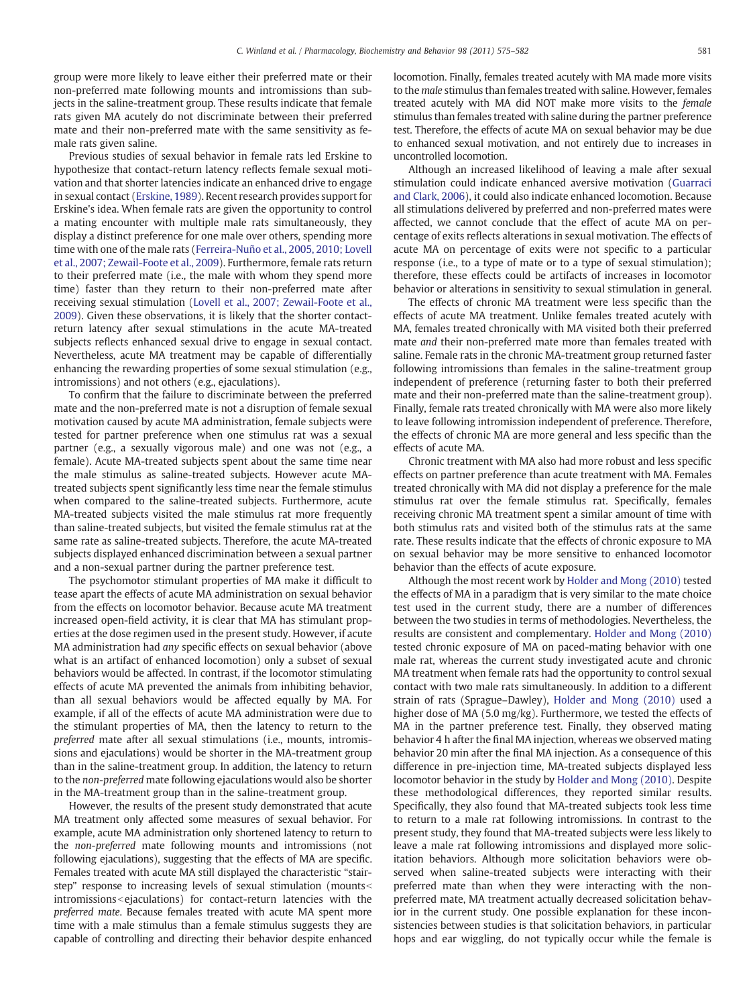group were more likely to leave either their preferred mate or their non-preferred mate following mounts and intromissions than subjects in the saline-treatment group. These results indicate that female rats given MA acutely do not discriminate between their preferred mate and their non-preferred mate with the same sensitivity as female rats given saline.

Previous studies of sexual behavior in female rats led Erskine to hypothesize that contact-return latency reflects female sexual motivation and that shorter latencies indicate an enhanced drive to engage in sexual contact [\(Erskine, 1989\)](#page-7-0). Recent research provides support for Erskine's idea. When female rats are given the opportunity to control a mating encounter with multiple male rats simultaneously, they display a distinct preference for one male over others, spending more time with one of the male rats ([Ferreira-Nuño et al., 2005, 2010; Lovell](#page-7-0) [et al., 2007; Zewail-Foote et al., 2009\)](#page-7-0). Furthermore, female rats return to their preferred mate (i.e., the male with whom they spend more time) faster than they return to their non-preferred mate after receiving sexual stimulation ([Lovell et al., 2007; Zewail-Foote et al.,](#page-7-0) [2009\)](#page-7-0). Given these observations, it is likely that the shorter contactreturn latency after sexual stimulations in the acute MA-treated subjects reflects enhanced sexual drive to engage in sexual contact. Nevertheless, acute MA treatment may be capable of differentially enhancing the rewarding properties of some sexual stimulation (e.g., intromissions) and not others (e.g., ejaculations).

To confirm that the failure to discriminate between the preferred mate and the non-preferred mate is not a disruption of female sexual motivation caused by acute MA administration, female subjects were tested for partner preference when one stimulus rat was a sexual partner (e.g., a sexually vigorous male) and one was not (e.g., a female). Acute MA-treated subjects spent about the same time near the male stimulus as saline-treated subjects. However acute MAtreated subjects spent significantly less time near the female stimulus when compared to the saline-treated subjects. Furthermore, acute MA-treated subjects visited the male stimulus rat more frequently than saline-treated subjects, but visited the female stimulus rat at the same rate as saline-treated subjects. Therefore, the acute MA-treated subjects displayed enhanced discrimination between a sexual partner and a non-sexual partner during the partner preference test.

The psychomotor stimulant properties of MA make it difficult to tease apart the effects of acute MA administration on sexual behavior from the effects on locomotor behavior. Because acute MA treatment increased open-field activity, it is clear that MA has stimulant properties at the dose regimen used in the present study. However, if acute MA administration had any specific effects on sexual behavior (above what is an artifact of enhanced locomotion) only a subset of sexual behaviors would be affected. In contrast, if the locomotor stimulating effects of acute MA prevented the animals from inhibiting behavior, than all sexual behaviors would be affected equally by MA. For example, if all of the effects of acute MA administration were due to the stimulant properties of MA, then the latency to return to the preferred mate after all sexual stimulations (i.e., mounts, intromissions and ejaculations) would be shorter in the MA-treatment group than in the saline-treatment group. In addition, the latency to return to the non-preferred mate following ejaculations would also be shorter in the MA-treatment group than in the saline-treatment group.

However, the results of the present study demonstrated that acute MA treatment only affected some measures of sexual behavior. For example, acute MA administration only shortened latency to return to the non-preferred mate following mounts and intromissions (not following ejaculations), suggesting that the effects of MA are specific. Females treated with acute MA still displayed the characteristic "stairstep" response to increasing levels of sexual stimulation (mounts< intromissions<ejaculations) for contact-return latencies with the preferred mate. Because females treated with acute MA spent more time with a male stimulus than a female stimulus suggests they are capable of controlling and directing their behavior despite enhanced locomotion. Finally, females treated acutely with MA made more visits to the male stimulus than females treated with saline. However, females treated acutely with MA did NOT make more visits to the female stimulus than females treated with saline during the partner preference test. Therefore, the effects of acute MA on sexual behavior may be due to enhanced sexual motivation, and not entirely due to increases in uncontrolled locomotion.

Although an increased likelihood of leaving a male after sexual stimulation could indicate enhanced aversive motivation ([Guarraci](#page-7-0) [and Clark, 2006\)](#page-7-0), it could also indicate enhanced locomotion. Because all stimulations delivered by preferred and non-preferred mates were affected, we cannot conclude that the effect of acute MA on percentage of exits reflects alterations in sexual motivation. The effects of acute MA on percentage of exits were not specific to a particular response (i.e., to a type of mate or to a type of sexual stimulation); therefore, these effects could be artifacts of increases in locomotor behavior or alterations in sensitivity to sexual stimulation in general.

The effects of chronic MA treatment were less specific than the effects of acute MA treatment. Unlike females treated acutely with MA, females treated chronically with MA visited both their preferred mate and their non-preferred mate more than females treated with saline. Female rats in the chronic MA-treatment group returned faster following intromissions than females in the saline-treatment group independent of preference (returning faster to both their preferred mate and their non-preferred mate than the saline-treatment group). Finally, female rats treated chronically with MA were also more likely to leave following intromission independent of preference. Therefore, the effects of chronic MA are more general and less specific than the effects of acute MA.

Chronic treatment with MA also had more robust and less specific effects on partner preference than acute treatment with MA. Females treated chronically with MA did not display a preference for the male stimulus rat over the female stimulus rat. Specifically, females receiving chronic MA treatment spent a similar amount of time with both stimulus rats and visited both of the stimulus rats at the same rate. These results indicate that the effects of chronic exposure to MA on sexual behavior may be more sensitive to enhanced locomotor behavior than the effects of acute exposure.

Although the most recent work by [Holder and Mong \(2010\)](#page-7-0) tested the effects of MA in a paradigm that is very similar to the mate choice test used in the current study, there are a number of differences between the two studies in terms of methodologies. Nevertheless, the results are consistent and complementary. [Holder and Mong \(2010\)](#page-7-0) tested chronic exposure of MA on paced-mating behavior with one male rat, whereas the current study investigated acute and chronic MA treatment when female rats had the opportunity to control sexual contact with two male rats simultaneously. In addition to a different strain of rats (Sprague–Dawley), [Holder and Mong \(2010\)](#page-7-0) used a higher dose of MA (5.0 mg/kg). Furthermore, we tested the effects of MA in the partner preference test. Finally, they observed mating behavior 4 h after the final MA injection, whereas we observed mating behavior 20 min after the final MA injection. As a consequence of this difference in pre-injection time, MA-treated subjects displayed less locomotor behavior in the study by [Holder and Mong \(2010\)](#page-7-0). Despite these methodological differences, they reported similar results. Specifically, they also found that MA-treated subjects took less time to return to a male rat following intromissions. In contrast to the present study, they found that MA-treated subjects were less likely to leave a male rat following intromissions and displayed more solicitation behaviors. Although more solicitation behaviors were observed when saline-treated subjects were interacting with their preferred mate than when they were interacting with the nonpreferred mate, MA treatment actually decreased solicitation behavior in the current study. One possible explanation for these inconsistencies between studies is that solicitation behaviors, in particular hops and ear wiggling, do not typically occur while the female is